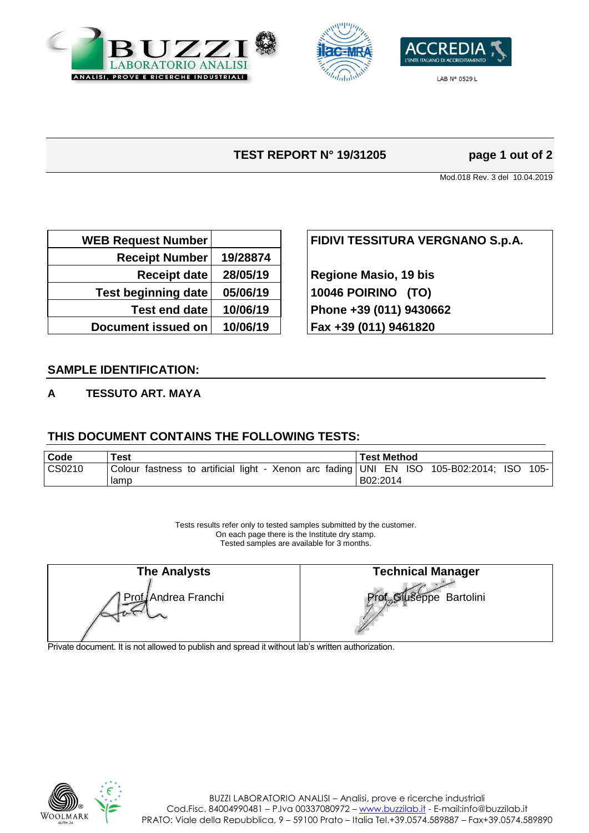





LAB Nº 0529 L

# **TEST REPORT N° 19/31205 page 1 out of 2**

Mod.018 Rev. 3 del 10.04.2019

| <b>WEB Request Number</b>  |          |
|----------------------------|----------|
| <b>Receipt Number</b>      | 19/28874 |
| <b>Receipt date</b>        | 28/05/19 |
| <b>Test beginning date</b> | 05/06/19 |
| <b>Test end date</b>       | 10/06/19 |
| Document issued on         | 10/06/19 |

## **WEB Request Number FIDIVI TESSITURA VERGNANO S.p.A.**

**Regione Masio, 19 bis Test beginning date 05/06/19 10046 POIRINO (TO) Test end date 10/06/19 Phone +39 (011) 9430662 Document issued on 10/06/19 Fax +39 (011) 9461820**

### **SAMPLE IDENTIFICATION:**

#### **A TESSUTO ART. MAYA**

### **THIS DOCUMENT CONTAINS THE FOLLOWING TESTS:**

| l Code | $\mathop{\mathsf{rest}}$                                                            | <b>Test Method</b> |
|--------|-------------------------------------------------------------------------------------|--------------------|
| CS0210 | Colour fastness to artificial light - Xenon arc fading UNI EN ISO 105-B02:2014; ISO | 105-1              |
|        | lamp                                                                                | B02:2014           |

Tests results refer only to tested samples submitted by the customer. On each page there is the Institute dry stamp. Tested samples are available for 3 months.

| <b>The Analysts</b> | <b>Technical Manager</b>              |
|---------------------|---------------------------------------|
| Prof Andrea Franchi | Prof <sub>ra</sub> Gluseppe Bartolini |

Private document. It is not allowed to publish and spread it without lab's written authorization.